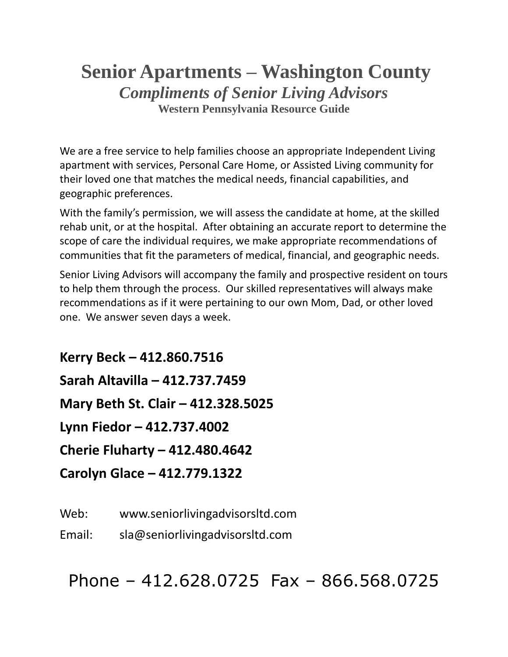# **Senior Apartments – Washington County** *Compliments of Senior Living Advisors* **Western Pennsylvania Resource Guide**

We are a free service to help families choose an appropriate Independent Living apartment with services, Personal Care Home, or Assisted Living community for their loved one that matches the medical needs, financial capabilities, and geographic preferences.

With the family's permission, we will assess the candidate at home, at the skilled rehab unit, or at the hospital. After obtaining an accurate report to determine the scope of care the individual requires, we make appropriate recommendations of communities that fit the parameters of medical, financial, and geographic needs.

Senior Living Advisors will accompany the family and prospective resident on tours to help them through the process. Our skilled representatives will always make recommendations as if it were pertaining to our own Mom, Dad, or other loved one. We answer seven days a week.

**Kerry Beck – 412.860.7516 Sarah Altavilla – 412.737.7459 Mary Beth St. Clair – 412.328.5025 Lynn Fiedor – 412.737.4002 Cherie Fluharty – 412.480.4642 Carolyn Glace – 412.779.1322**

Web: www.seniorlivingadvisorsltd.com

Email: sla@seniorlivingadvisorsltd.com

Phone – 412.628.0725 Fax – 866.568.0725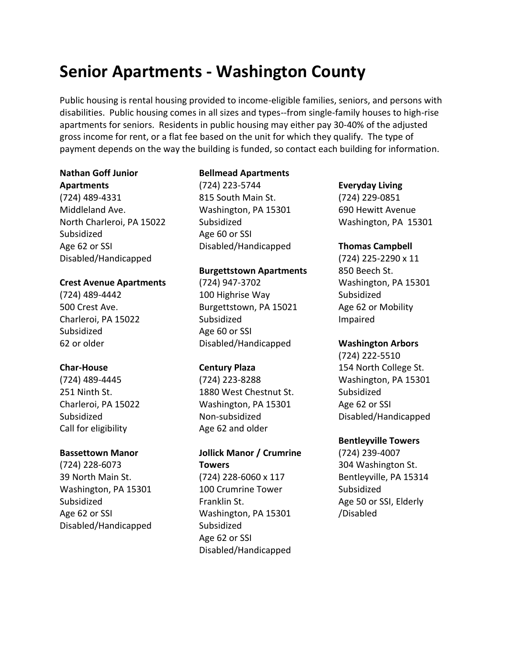# **Senior Apartments - Washington County**

Public housing is rental housing provided to income-eligible families, seniors, and persons with disabilities. Public housing comes in all sizes and types--from single-family houses to high-rise apartments for seniors. Residents in public housing may either pay 30-40% of the adjusted gross income for rent, or a flat fee based on the unit for which they qualify. The type of payment depends on the way the building is funded, so contact each building for information.

### **Nathan Goff Junior Apartments**

(724) 489-4331 Middleland Ave. North Charleroi, PA 15022 Subsidized Age 62 or SSI Disabled/Handicapped

### **Crest Avenue Apartments**

(724) 489-4442 500 Crest Ave. Charleroi, PA 15022 Subsidized 62 or older

# **Char-House**

(724) 489-4445 251 Ninth St. Charleroi, PA 15022 Subsidized Call for eligibility

### **Bassettown Manor**

(724) 228-6073 39 North Main St. Washington, PA 15301 Subsidized Age 62 or SSI Disabled/Handicapped

# **Bellmead Apartments**

(724) 223-5744 815 South Main St. Washington, PA 15301 Subsidized Age 60 or SSI Disabled/Handicapped

## **Burgettstown Apartments**

(724) 947-3702 100 Highrise Way Burgettstown, PA 15021 Subsidized Age 60 or SSI Disabled/Handicapped

### **Century Plaza**

(724) 223-8288 1880 West Chestnut St. Washington, PA 15301 Non-subsidized Age 62 and older

# **Jollick Manor / Crumrine Towers**

(724) 228-6060 x 117 100 Crumrine Tower Franklin St. Washington, PA 15301 Subsidized Age 62 or SSI Disabled/Handicapped

### **Everyday Living**

(724) 229-0851 690 Hewitt Avenue Washington, PA 15301

## **Thomas Campbell**

(724) 225-2290 x 11 850 Beech St. Washington, PA 15301 Subsidized Age 62 or Mobility Impaired

### **Washington Arbors**

(724) 222-5510 154 North College St. Washington, PA 15301 Subsidized Age 62 or SSI Disabled/Handicapped

### **Bentleyville Towers**

(724) 239-4007 304 Washington St. Bentleyville, PA 15314 Subsidized Age 50 or SSI, Elderly /Disabled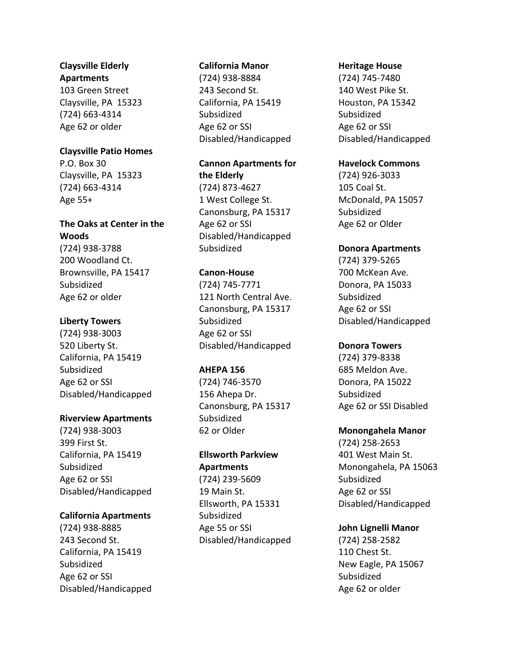#### **Claysville Elderly Apartments**

103 Green Street Claysville, PA 15323 (724) 663-4314 Age 62 or older

# **Claysville Patio Homes**

P.O. Box 30 Claysville, PA 15323 (724) 663-4314 Age 55+

# **The Oaks at Center in the Woods**

(724) 938-3788 200 Woodland Ct. Brownsville, PA 15417 Subsidized Age 62 or older

# **Liberty Towers**

(724) 938-3003 520 Liberty St. California, PA 15419 Subsidized Age 62 or SSI Disabled/Handicapped

# **Riverview Apartments**

(724) 938-3003 399 First St. California, PA 15419 **Subsidized** Age 62 or SSI Disabled/Handicapped

# **California Apartments**

(724) 938-8885 243 Second St. California, PA 15419 Subsidized Age 62 or SSI Disabled/Handicapped

### **California Manor**

(724) 938-8884 243 Second St. California, PA 15419 Subsidized Age 62 or SSI Disabled/Handicapped

# **Cannon Apartments for**

**the Elderly** (724) 873-4627 1 West College St. Canonsburg, PA 15317 Age 62 or SSI Disabled/Handicapped **Subsidized** 

# **Canon-House**

(724) 745-7771 121 North Central Ave. Canonsburg, PA 15317 Subsidized Age 62 or SSI Disabled/Handicapped

### **AHEPA 156**

(724) 746-3570 156 Ahepa Dr. Canonsburg, PA 15317 Subsidized 62 or Older

# **Ellsworth Parkview Apartments** (724) 239-5609

19 Main St. Ellsworth, PA 15331 Subsidized Age 55 or SSI Disabled/Handicapped

### **Heritage House**

(724) 745-7480 140 West Pike St. Houston, PA 15342 Subsidized Age 62 or SSI Disabled/Handicapped

## **Havelock Commons**

(724) 926-3033 105 Coal St. McDonald, PA 15057 Subsidized Age 62 or Older

## **Donora Apartments**

(724) 379-5265 700 McKean Ave. Donora, PA 15033 Subsidized Age 62 or SSI Disabled/Handicapped

### **Donora Towers**

(724) 379-8338 685 Meldon Ave. Donora, PA 15022 Subsidized Age 62 or SSI Disabled

# **Monongahela Manor**

(724) 258-2653 401 West Main St. Monongahela, PA 15063 Subsidized Age 62 or SSI Disabled/Handicapped

# **John Lignelli Manor**

(724) 258-2582 110 Chest St. New Eagle, PA 15067 Subsidized Age 62 or older